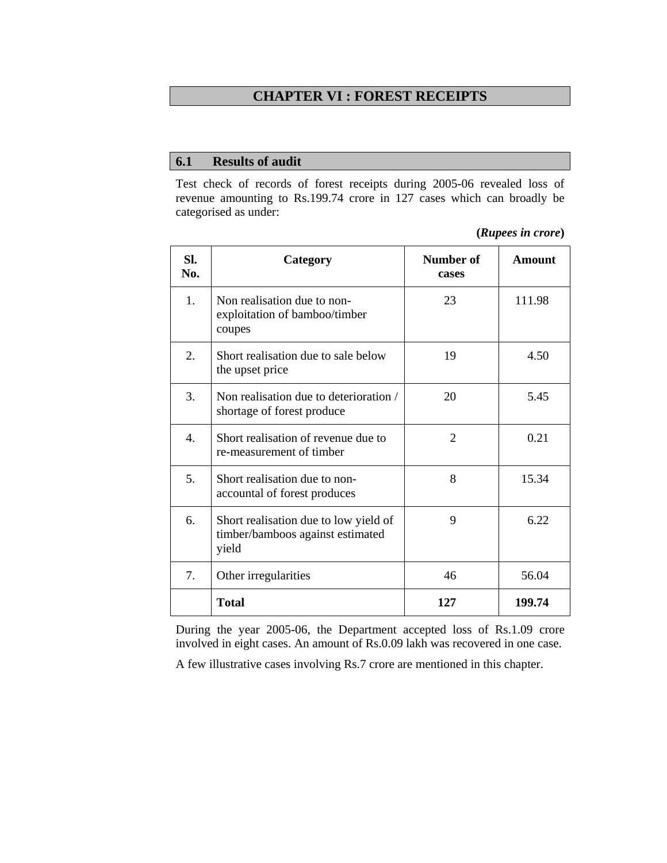## **CHAPTER VI : FOREST RECEIPTS**

## **6.1 Results of audit**

Test check of records of forest receipts during 2005-06 revealed loss of revenue amounting to Rs.199.74 crore in 127 cases which can broadly be categorised as under:

| (Rupees in crore) |  |
|-------------------|--|
|                   |  |

| SI.<br>No.       | Category                                                                           | Number of<br>cases | Amount |
|------------------|------------------------------------------------------------------------------------|--------------------|--------|
| 1.               | Non realisation due to non-<br>exploitation of bamboo/timber<br>coupes             | 23                 | 111.98 |
| 2.               | Short realisation due to sale below<br>the upset price                             | 19                 | 4.50   |
| 3.               | Non realisation due to deterioration /<br>shortage of forest produce               | 20                 | 5.45   |
| $\overline{4}$ . | Short realisation of revenue due to<br>re-measurement of timber                    | $\overline{2}$     | 0.21   |
| 5.               | Short realisation due to non-<br>accountal of forest produces                      | 8                  | 15.34  |
| 6.               | Short realisation due to low yield of<br>timber/bamboos against estimated<br>yield | 9                  | 6.22   |
| $7_{\cdot}$      | Other irregularities                                                               | 46                 | 56.04  |
|                  | <b>Total</b>                                                                       | 127                | 199.74 |

During the year 2005-06, the Department accepted loss of Rs.1.09 crore involved in eight cases. An amount of Rs.0.09 lakh was recovered in one case.

A few illustrative cases involving Rs.7 crore are mentioned in this chapter.